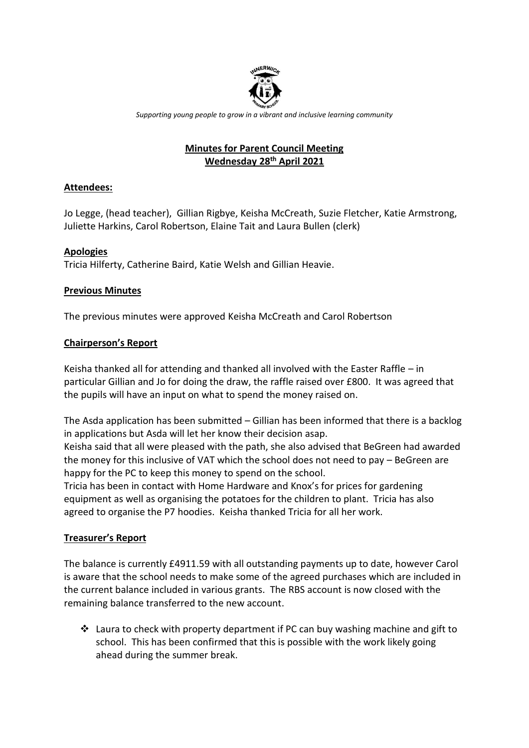

*Supporting young people to grow in a vibrant and inclusive learning community*

# **Minutes for Parent Council Meeting Wednesday 28th April 2021**

### **Attendees:**

Jo Legge, (head teacher), Gillian Rigbye, Keisha McCreath, Suzie Fletcher, Katie Armstrong, Juliette Harkins, Carol Robertson, Elaine Tait and Laura Bullen (clerk)

## **Apologies**

Tricia Hilferty, Catherine Baird, Katie Welsh and Gillian Heavie.

## **Previous Minutes**

The previous minutes were approved Keisha McCreath and Carol Robertson

### **Chairperson's Report**

Keisha thanked all for attending and thanked all involved with the Easter Raffle – in particular Gillian and Jo for doing the draw, the raffle raised over £800. It was agreed that the pupils will have an input on what to spend the money raised on.

The Asda application has been submitted – Gillian has been informed that there is a backlog in applications but Asda will let her know their decision asap.

Keisha said that all were pleased with the path, she also advised that BeGreen had awarded the money for this inclusive of VAT which the school does not need to pay – BeGreen are happy for the PC to keep this money to spend on the school.

Tricia has been in contact with Home Hardware and Knox's for prices for gardening equipment as well as organising the potatoes for the children to plant. Tricia has also agreed to organise the P7 hoodies. Keisha thanked Tricia for all her work.

# **Treasurer's Report**

The balance is currently £4911.59 with all outstanding payments up to date, however Carol is aware that the school needs to make some of the agreed purchases which are included in the current balance included in various grants. The RBS account is now closed with the remaining balance transferred to the new account.

 $\cdot$  Laura to check with property department if PC can buy washing machine and gift to school. This has been confirmed that this is possible with the work likely going ahead during the summer break.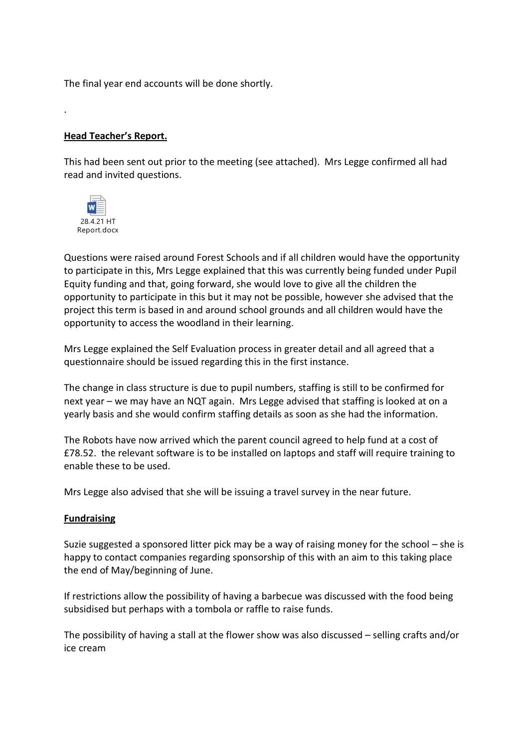The final year end accounts will be done shortly.

#### **Head Teacher's Report.**

This had been sent out prior to the meeting (see attached). Mrs Legge confirmed all had read and invited questions.



.

Questions were raised around Forest Schools and if all children would have the opportunity to participate in this, Mrs Legge explained that this was currently being funded under Pupil Equity funding and that, going forward, she would love to give all the children the opportunity to participate in this but it may not be possible, however she advised that the project this term is based in and around school grounds and all children would have the opportunity to access the woodland in their learning.

Mrs Legge explained the Self Evaluation process in greater detail and all agreed that a questionnaire should be issued regarding this in the first instance.

The change in class structure is due to pupil numbers, staffing is still to be confirmed for next year – we may have an NQT again. Mrs Legge advised that staffing is looked at on a yearly basis and she would confirm staffing details as soon as she had the information.

The Robots have now arrived which the parent council agreed to help fund at a cost of £78.52. the relevant software is to be installed on laptops and staff will require training to enable these to be used.

Mrs Legge also advised that she will be issuing a travel survey in the near future.

#### **Fundraising**

Suzie suggested a sponsored litter pick may be a way of raising money for the school – she is happy to contact companies regarding sponsorship of this with an aim to this taking place the end of May/beginning of June.

If restrictions allow the possibility of having a barbecue was discussed with the food being subsidised but perhaps with a tombola or raffle to raise funds.

The possibility of having a stall at the flower show was also discussed – selling crafts and/or ice cream